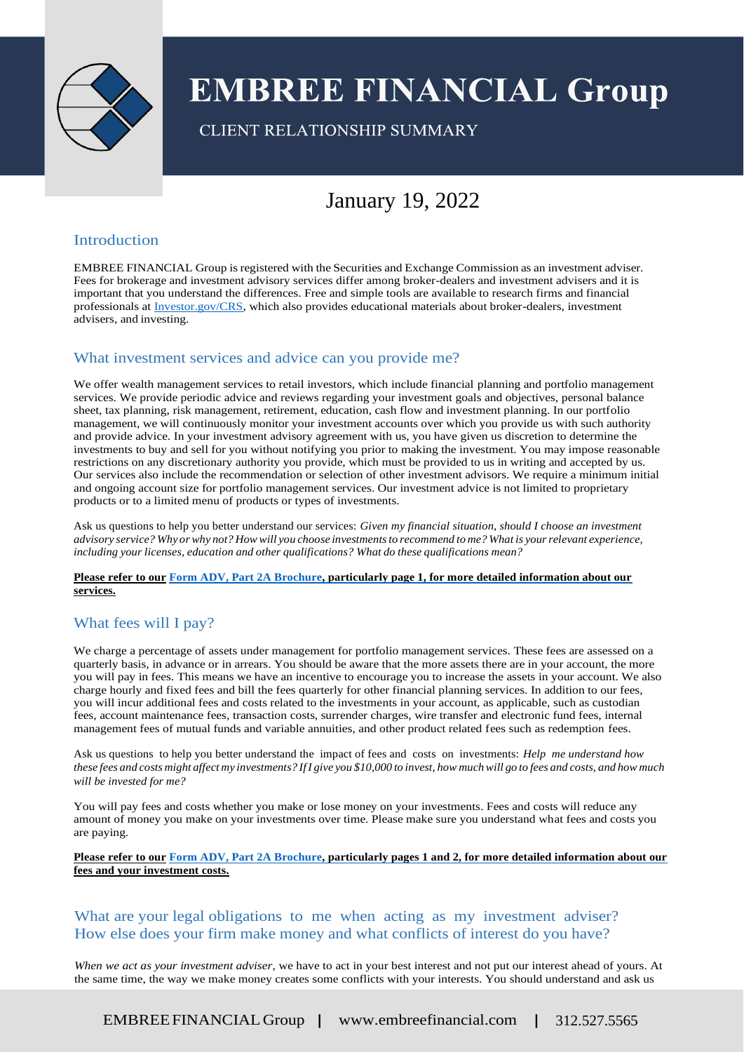

# **EMBREE FINANCIAL Group**

CLIENT RELATIONSHIP SUMMARY

# January 19, 2022

#### Introduction

EMBREE FINANCIAL Group isregistered with the Securities and Exchange Commission as an investment adviser. Fees for brokerage and investment advisory services differ among broker-dealers and investment advisers and it is important that you understand the differences. Free and simple tools are available to research firms and financial professionals at Investor.gov/CRS, which also provides educational materials about broker-dealers, investment advisers, and investing.

## What investment services and advice can you provide me?

We offer wealth management services to retail investors, which include financial planning and portfolio management services. We provide periodic advice and reviews regarding your investment goals and objectives, personal balance sheet, tax planning, risk management, retirement, education, cash flow and investment planning. In our portfolio management, we will continuously monitor your investment accounts over which you provide us with such authority and provide advice. In your investment advisory agreement with us, you have given us discretion to determine the investments to buy and sell for you without notifying you prior to making the investment. You may impose reasonable restrictions on any discretionary authority you provide, which must be provided to us in writing and accepted by us. Our services also include the recommendation or selection of other investment advisors. We require a minimum initial and ongoing account size for portfolio management services. Our investment advice is not limited to proprietary products or to a limited menu of products or types of investments.

Ask us questions to help you better understand our services: *Given my financial situation, should I choose an investment*  advisory service? Why or why not? How will you choose investments to recommend to me? What is your relevant experience, *including your licenses, education and other qualifications? What do these qualifications mean?*

#### **Please refer to our Form ADV, Part 2A Brochure, particularly page 1, for more detailed information about our services.**

# What fees will I pay?

We charge a percentage of assets under management for portfolio management services. These fees are assessed on a quarterly basis, in advance or in arrears. You should be aware that the more assets there are in your account, the more you will pay in fees. This means we have an incentive to encourage you to increase the assets in your account. We also charge hourly and fixed fees and bill the fees quarterly for other financial planning services. In addition to our fees, you will incur additional fees and costs related to the investments in your account, as applicable, such as custodian fees, account maintenance fees, transaction costs, surrender charges, wire transfer and electronic fund fees, internal management fees of mutual funds and variable annuities, and other product related fees such as redemption fees.

Ask us questions to help you better understand the impact of fees and costs on investments: *Help me understand how*  these fees and costs might affect my investments? If I give you \$10,000 to invest, how much will go to fees and costs, and how much *will be invested for me?*

You will pay fees and costs whether you make or lose money on your investments. Fees and costs will reduce any amount of money you make on your investments over time. Please make sure you understand what fees and costs you are paying.

**Please refer to our Form ADV, Part 2A Brochure, particularly pages 1 and 2, for more detailed information about our fees and your investment costs.**

#### What are your legal obligations to me when acting as my investment adviser? How else does your firm make money and what conflicts of interest do you have?

*When we act as your investment adviser*, we have to act in your best interest and not put our interest ahead of yours. At the same time, the way we make money creates some conflicts with your interests. You should understand and ask us